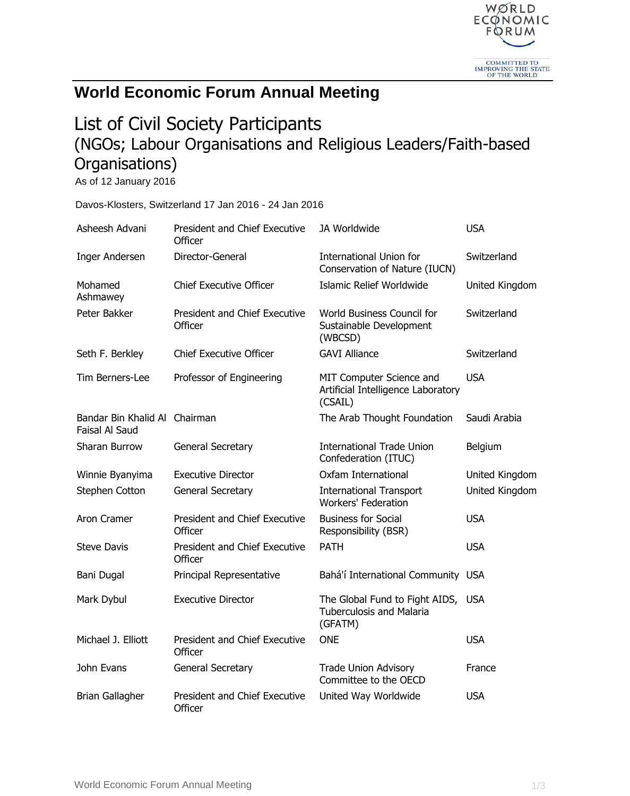

## **World Economic Forum Annual Meeting**

## List of Civil Society Participants (NGOs; Labour Organisations and Religious Leaders/Faith-based Organisations)

As of 12 January 2016

Davos-Klosters, Switzerland 17 Jan 2016 - 24 Jan 2016

| Asheesh Advani                                  | <b>President and Chief Executive</b><br>Officer | JA Worldwide                                                                     | <b>USA</b>     |
|-------------------------------------------------|-------------------------------------------------|----------------------------------------------------------------------------------|----------------|
| Inger Andersen                                  | Director-General                                | <b>International Union for</b><br>Conservation of Nature (IUCN)                  | Switzerland    |
| Mohamed<br>Ashmawey                             | <b>Chief Executive Officer</b>                  | Islamic Relief Worldwide                                                         | United Kingdom |
| Peter Bakker                                    | <b>President and Chief Executive</b><br>Officer | World Business Council for<br>Sustainable Development<br>(WBCSD)                 | Switzerland    |
| Seth F. Berkley                                 | <b>Chief Executive Officer</b>                  | <b>GAVI Alliance</b>                                                             | Switzerland    |
| Tim Berners-Lee                                 | Professor of Engineering                        | MIT Computer Science and<br>Artificial Intelligence Laboratory<br>(CSAIL)        | <b>USA</b>     |
| Bandar Bin Khalid Al Chairman<br>Faisal Al Saud |                                                 | The Arab Thought Foundation                                                      | Saudi Arabia   |
| Sharan Burrow                                   | <b>General Secretary</b>                        | <b>International Trade Union</b><br>Confederation (ITUC)                         | Belgium        |
| Winnie Byanyima                                 | <b>Executive Director</b>                       | Oxfam International                                                              | United Kingdom |
| Stephen Cotton                                  | General Secretary                               | <b>International Transport</b><br><b>Workers' Federation</b>                     | United Kingdom |
| Aron Cramer                                     | President and Chief Executive<br>Officer        | <b>Business for Social</b><br>Responsibility (BSR)                               | <b>USA</b>     |
| <b>Steve Davis</b>                              | President and Chief Executive<br>Officer        | <b>PATH</b>                                                                      | <b>USA</b>     |
| Bani Dugal                                      | Principal Representative                        | Bahá'í International Community USA                                               |                |
| Mark Dybul                                      | <b>Executive Director</b>                       | The Global Fund to Fight AIDS, USA<br><b>Tuberculosis and Malaria</b><br>(GFATM) |                |
| Michael J. Elliott                              | President and Chief Executive<br>Officer        | <b>ONE</b>                                                                       | <b>USA</b>     |
| John Evans                                      | General Secretary                               | <b>Trade Union Advisory</b><br>Committee to the OECD                             | France         |
| <b>Brian Gallagher</b>                          | <b>President and Chief Executive</b><br>Officer | United Way Worldwide                                                             | <b>USA</b>     |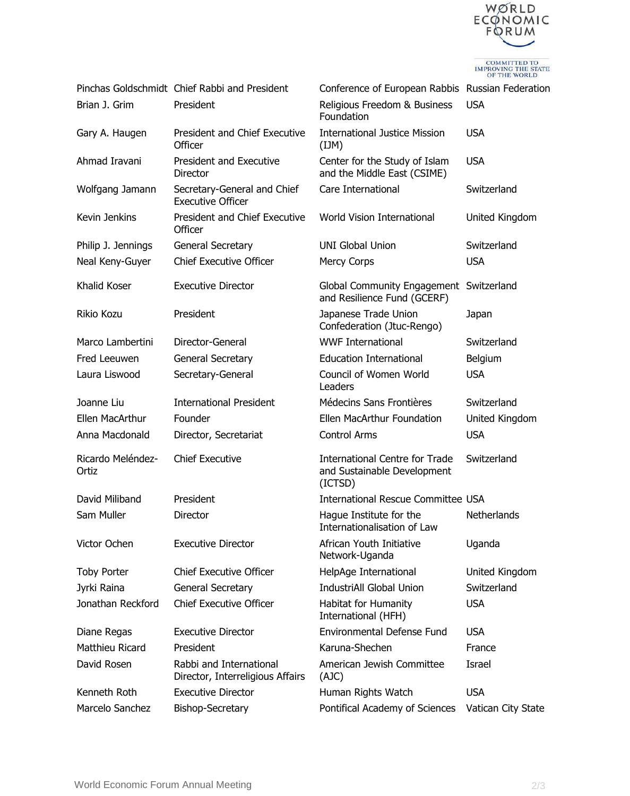

COMMITTED TO<br>IMPROVING THE STATE<br>OF THE WORLD

|                            | Pinchas Goldschmidt Chief Rabbi and President               | Conference of European Rabbis Russian Federation                                |                    |
|----------------------------|-------------------------------------------------------------|---------------------------------------------------------------------------------|--------------------|
| Brian J. Grim              | President                                                   | Religious Freedom & Business<br>Foundation                                      | <b>USA</b>         |
| Gary A. Haugen             | President and Chief Executive<br>Officer                    | <b>International Justice Mission</b><br>(IJM)                                   | <b>USA</b>         |
| Ahmad Iravani              | President and Executive<br>Director                         | Center for the Study of Islam<br>and the Middle East (CSIME)                    | <b>USA</b>         |
| Wolfgang Jamann            | Secretary-General and Chief<br><b>Executive Officer</b>     | Care International                                                              | Switzerland        |
| Kevin Jenkins              | President and Chief Executive<br>Officer                    | <b>World Vision International</b>                                               | United Kingdom     |
| Philip J. Jennings         | General Secretary                                           | <b>UNI Global Union</b>                                                         | Switzerland        |
| Neal Keny-Guyer            | <b>Chief Executive Officer</b>                              | <b>Mercy Corps</b>                                                              | <b>USA</b>         |
| Khalid Koser               | <b>Executive Director</b>                                   | Global Community Engagement Switzerland<br>and Resilience Fund (GCERF)          |                    |
| Rikio Kozu                 | President                                                   | Japanese Trade Union<br>Confederation (Jtuc-Rengo)                              | Japan              |
| Marco Lambertini           | Director-General                                            | <b>WWF International</b>                                                        | Switzerland        |
| Fred Leeuwen               | General Secretary                                           | <b>Education International</b>                                                  | Belgium            |
| Laura Liswood              | Secretary-General                                           | Council of Women World<br>Leaders                                               | <b>USA</b>         |
| Joanne Liu                 | <b>International President</b>                              | Médecins Sans Frontières                                                        | Switzerland        |
| Ellen MacArthur            | Founder                                                     | Ellen MacArthur Foundation                                                      | United Kingdom     |
| Anna Macdonald             | Director, Secretariat                                       | <b>Control Arms</b>                                                             | <b>USA</b>         |
| Ricardo Meléndez-<br>Ortiz | <b>Chief Executive</b>                                      | <b>International Centre for Trade</b><br>and Sustainable Development<br>(ICTSD) | Switzerland        |
| David Miliband             | President                                                   | <b>International Rescue Committee USA</b>                                       |                    |
| Sam Muller                 | Director                                                    | Hague Institute for the<br>Internationalisation of Law                          | Netherlands        |
| Victor Ochen               | <b>Executive Director</b>                                   | African Youth Initiative<br>Network-Uganda                                      | Uganda             |
| <b>Toby Porter</b>         | <b>Chief Executive Officer</b>                              | HelpAge International                                                           | United Kingdom     |
| Jyrki Raina                | General Secretary                                           | IndustriAll Global Union                                                        | Switzerland        |
| Jonathan Reckford          | <b>Chief Executive Officer</b>                              | Habitat for Humanity<br>International (HFH)                                     | <b>USA</b>         |
| Diane Regas                | <b>Executive Director</b>                                   | <b>Environmental Defense Fund</b>                                               | <b>USA</b>         |
| Matthieu Ricard            | President                                                   | Karuna-Shechen                                                                  | France             |
| David Rosen                | Rabbi and International<br>Director, Interreligious Affairs | American Jewish Committee<br>(AJC)                                              | Israel             |
| Kenneth Roth               | <b>Executive Director</b>                                   | Human Rights Watch                                                              | <b>USA</b>         |
| Marcelo Sanchez            | Bishop-Secretary                                            | Pontifical Academy of Sciences                                                  | Vatican City State |